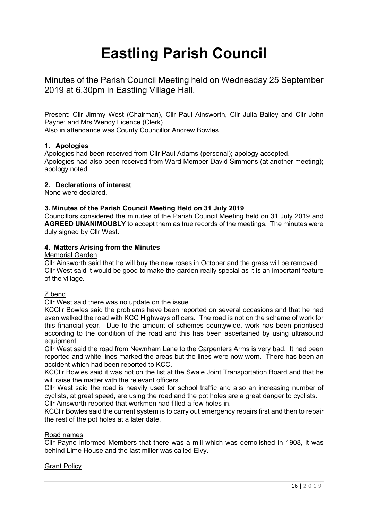# **Eastling Parish Council**

Minutes of the Parish Council Meeting held on Wednesday 25 September 2019 at 6.30pm in Eastling Village Hall.

Present: Cllr Jimmy West (Chairman), Cllr Paul Ainsworth, Cllr Julia Bailey and Cllr John Payne; and Mrs Wendy Licence (Clerk).

Also in attendance was County Councillor Andrew Bowles.

# **1. Apologies**

Apologies had been received from Cllr Paul Adams (personal); apology accepted. Apologies had also been received from Ward Member David Simmons (at another meeting); apology noted.

# **2. Declarations of interest**

None were declared.

# **3. Minutes of the Parish Council Meeting Held on 31 July 2019**

Councillors considered the minutes of the Parish Council Meeting held on 31 July 2019 and **AGREED UNANIMOUSLY** to accept them as true records of the meetings. The minutes were duly signed by Cllr West.

# **4. Matters Arising from the Minutes**

## Memorial Garden

Cllr Ainsworth said that he will buy the new roses in October and the grass will be removed. Cllr West said it would be good to make the garden really special as it is an important feature of the village.

# <u>Z bend</u>

Cllr West said there was no update on the issue.

KCCllr Bowles said the problems have been reported on several occasions and that he had even walked the road with KCC Highways officers. The road is not on the scheme of work for this financial year. Due to the amount of schemes countywide, work has been prioritised according to the condition of the road and this has been ascertained by using ultrasound equipment.

Cllr West said the road from Newnham Lane to the Carpenters Arms is very bad. It had been reported and white lines marked the areas but the lines were now worn. There has been an accident which had been reported to KCC.

KCCllr Bowles said it was not on the list at the Swale Joint Transportation Board and that he will raise the matter with the relevant officers.

Cllr West said the road is heavily used for school traffic and also an increasing number of cyclists, at great speed, are using the road and the pot holes are a great danger to cyclists.

Cllr Ainsworth reported that workmen had filled a few holes in.

KCCllr Bowles said the current system is to carry out emergency repairs first and then to repair the rest of the pot holes at a later date.

# Road names

Cllr Payne informed Members that there was a mill which was demolished in 1908, it was behind Lime House and the last miller was called Elvy.

# Grant Policy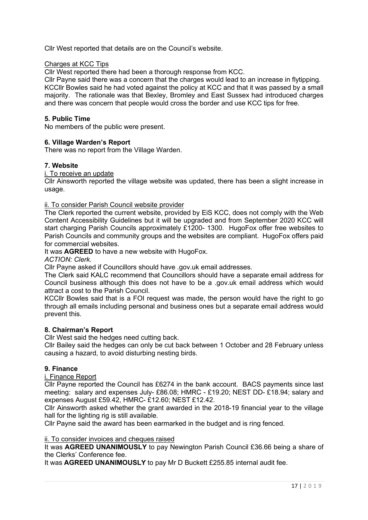Cllr West reported that details are on the Council's website.

#### Charges at KCC Tips

Cllr West reported there had been a thorough response from KCC.

Cllr Payne said there was a concern that the charges would lead to an increase in flytipping. KCCllr Bowles said he had voted against the policy at KCC and that it was passed by a small majority. The rationale was that Bexley, Bromley and East Sussex had introduced charges and there was concern that people would cross the border and use KCC tips for free.

# **5. Public Time**

No members of the public were present.

## **6. Village Warden's Report**

There was no report from the Village Warden.

#### **7. Website**

i. To receive an update

Cllr Ainsworth reported the village website was updated, there has been a slight increase in usage.

#### ii. To consider Parish Council website provider

The Clerk reported the current website, provided by EiS KCC, does not comply with the Web Content Accessibility Guidelines but it will be upgraded and from September 2020 KCC will start charging Parish Councils approximately £1200- 1300. HugoFox offer free websites to Parish Councils and community groups and the websites are compliant. HugoFox offers paid for commercial websites.

It was **AGREED** to have a new website with HugoFox.

*ACTION: Clerk.*

Cllr Payne asked if Councillors should have .gov.uk email addresses.

The Clerk said KALC recommend that Councillors should have a separate email address for Council business although this does not have to be a .gov.uk email address which would attract a cost to the Parish Council.

KCCllr Bowles said that is a FOI request was made, the person would have the right to go through all emails including personal and business ones but a separate email address would prevent this.

#### **8. Chairman's Report**

Cllr West said the hedges need cutting back.

Cllr Bailey said the hedges can only be cut back between 1 October and 28 February unless causing a hazard, to avoid disturbing nesting birds.

#### **9. Finance**

i. Finance Report

Cllr Payne reported the Council has £6274 in the bank account. BACS payments since last meeting: salary and expenses July- £86.08; HMRC - £19.20; NEST DD- £18.94; salary and expenses August £59.42, HMRC- £12.60; NEST £12.42.

Cllr Ainsworth asked whether the grant awarded in the 2018-19 financial year to the village hall for the lighting rig is still available.

Cllr Payne said the award has been earmarked in the budget and is ring fenced.

## ii. To consider invoices and cheques raised

It was **AGREED UNANIMOUSLY** to pay Newington Parish Council £36.66 being a share of the Clerks' Conference fee.

It was **AGREED UNANIMOUSLY** to pay Mr D Buckett £255.85 internal audit fee.